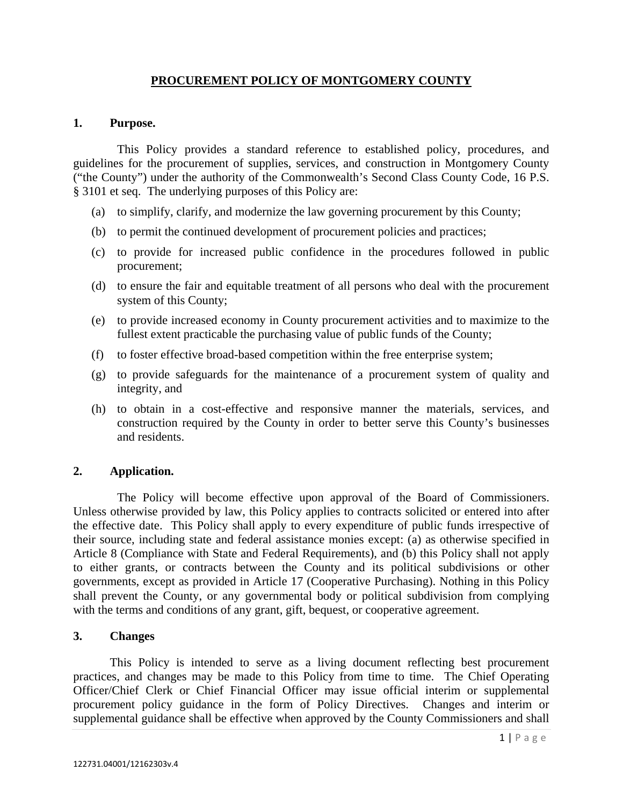# **PROCUREMENT POLICY OF MONTGOMERY COUNTY**

#### **1. Purpose.**

 This Policy provides a standard reference to established policy, procedures, and guidelines for the procurement of supplies, services, and construction in Montgomery County ("the County") under the authority of the Commonwealth's Second Class County Code, 16 P.S. § 3101 et seq. The underlying purposes of this Policy are:

- (a) to simplify, clarify, and modernize the law governing procurement by this County;
- (b) to permit the continued development of procurement policies and practices;
- (c) to provide for increased public confidence in the procedures followed in public procurement;
- (d) to ensure the fair and equitable treatment of all persons who deal with the procurement system of this County;
- (e) to provide increased economy in County procurement activities and to maximize to the fullest extent practicable the purchasing value of public funds of the County;
- (f) to foster effective broad-based competition within the free enterprise system;
- (g) to provide safeguards for the maintenance of a procurement system of quality and integrity, and
- (h) to obtain in a cost-effective and responsive manner the materials, services, and construction required by the County in order to better serve this County's businesses and residents.

### **2. Application.**

 The Policy will become effective upon approval of the Board of Commissioners. Unless otherwise provided by law, this Policy applies to contracts solicited or entered into after the effective date. This Policy shall apply to every expenditure of public funds irrespective of their source, including state and federal assistance monies except: (a) as otherwise specified in Article 8 (Compliance with State and Federal Requirements), and (b) this Policy shall not apply to either grants, or contracts between the County and its political subdivisions or other governments, except as provided in Article 17 (Cooperative Purchasing). Nothing in this Policy shall prevent the County, or any governmental body or political subdivision from complying with the terms and conditions of any grant, gift, bequest, or cooperative agreement.

### **3. Changes**

This Policy is intended to serve as a living document reflecting best procurement practices, and changes may be made to this Policy from time to time. The Chief Operating Officer/Chief Clerk or Chief Financial Officer may issue official interim or supplemental procurement policy guidance in the form of Policy Directives. Changes and interim or supplemental guidance shall be effective when approved by the County Commissioners and shall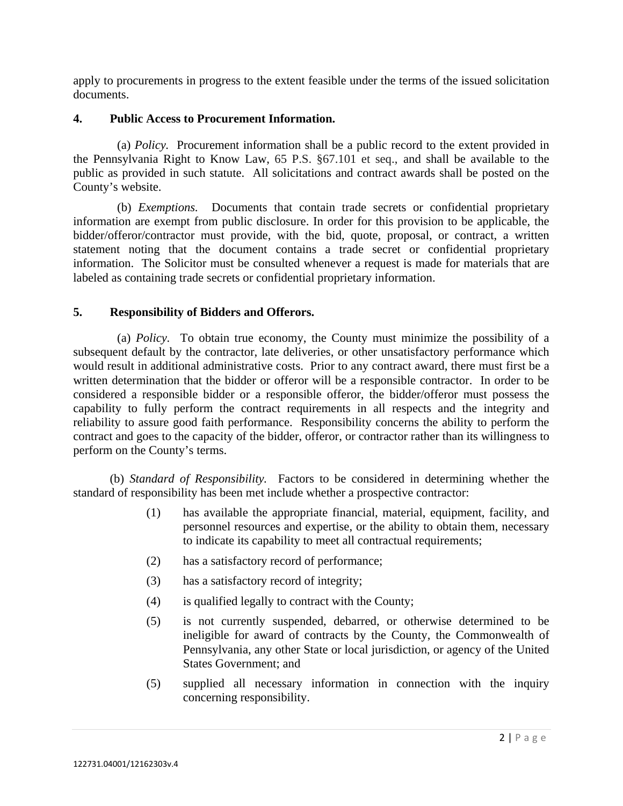apply to procurements in progress to the extent feasible under the terms of the issued solicitation documents.

### **4. Public Access to Procurement Information.**

 (a) *Policy.* Procurement information shall be a public record to the extent provided in the Pennsylvania Right to Know Law, 65 P.S. §67.101 et seq., and shall be available to the public as provided in such statute. All solicitations and contract awards shall be posted on the County's website.

 (b) *Exemptions.* Documents that contain trade secrets or confidential proprietary information are exempt from public disclosure. In order for this provision to be applicable, the bidder/offeror/contractor must provide, with the bid, quote, proposal, or contract, a written statement noting that the document contains a trade secret or confidential proprietary information. The Solicitor must be consulted whenever a request is made for materials that are labeled as containing trade secrets or confidential proprietary information.

## **5. Responsibility of Bidders and Offerors.**

 (a) *Policy.* To obtain true economy, the County must minimize the possibility of a subsequent default by the contractor, late deliveries, or other unsatisfactory performance which would result in additional administrative costs. Prior to any contract award, there must first be a written determination that the bidder or offeror will be a responsible contractor. In order to be considered a responsible bidder or a responsible offeror, the bidder/offeror must possess the capability to fully perform the contract requirements in all respects and the integrity and reliability to assure good faith performance. Responsibility concerns the ability to perform the contract and goes to the capacity of the bidder, offeror, or contractor rather than its willingness to perform on the County's terms.

(b) *Standard of Responsibility.* Factors to be considered in determining whether the standard of responsibility has been met include whether a prospective contractor:

- (1) has available the appropriate financial, material, equipment, facility, and personnel resources and expertise, or the ability to obtain them, necessary to indicate its capability to meet all contractual requirements;
- (2) has a satisfactory record of performance;
- (3) has a satisfactory record of integrity;
- (4) is qualified legally to contract with the County;
- (5) is not currently suspended, debarred, or otherwise determined to be ineligible for award of contracts by the County, the Commonwealth of Pennsylvania, any other State or local jurisdiction, or agency of the United States Government; and
- (5) supplied all necessary information in connection with the inquiry concerning responsibility.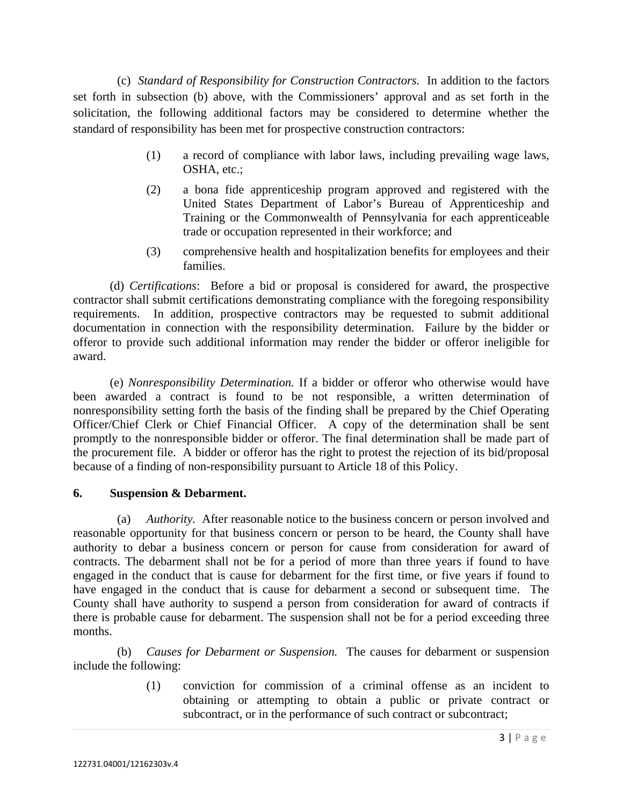(c) *Standard of Responsibility for Construction Contractors.* In addition to the factors set forth in subsection (b) above, with the Commissioners' approval and as set forth in the solicitation, the following additional factors may be considered to determine whether the standard of responsibility has been met for prospective construction contractors:

- (1) a record of compliance with labor laws, including prevailing wage laws, OSHA, etc.;
- (2) a bona fide apprenticeship program approved and registered with the United States Department of Labor's Bureau of Apprenticeship and Training or the Commonwealth of Pennsylvania for each apprenticeable trade or occupation represented in their workforce; and
- (3) comprehensive health and hospitalization benefits for employees and their families.

 (d) *Certifications*: Before a bid or proposal is considered for award, the prospective contractor shall submit certifications demonstrating compliance with the foregoing responsibility requirements. In addition, prospective contractors may be requested to submit additional documentation in connection with the responsibility determination. Failure by the bidder or offeror to provide such additional information may render the bidder or offeror ineligible for award.

 (e) *Nonresponsibility Determination.* If a bidder or offeror who otherwise would have been awarded a contract is found to be not responsible, a written determination of nonresponsibility setting forth the basis of the finding shall be prepared by the Chief Operating Officer/Chief Clerk or Chief Financial Officer. A copy of the determination shall be sent promptly to the nonresponsible bidder or offeror. The final determination shall be made part of the procurement file. A bidder or offeror has the right to protest the rejection of its bid/proposal because of a finding of non-responsibility pursuant to Article 18 of this Policy.

### **6. Suspension & Debarment.**

 (a) *Authority.* After reasonable notice to the business concern or person involved and reasonable opportunity for that business concern or person to be heard, the County shall have authority to debar a business concern or person for cause from consideration for award of contracts. The debarment shall not be for a period of more than three years if found to have engaged in the conduct that is cause for debarment for the first time, or five years if found to have engaged in the conduct that is cause for debarment a second or subsequent time. The County shall have authority to suspend a person from consideration for award of contracts if there is probable cause for debarment. The suspension shall not be for a period exceeding three months.

 (b) *Causes for Debarment or Suspension.* The causes for debarment or suspension include the following:

> (1) conviction for commission of a criminal offense as an incident to obtaining or attempting to obtain a public or private contract or subcontract, or in the performance of such contract or subcontract;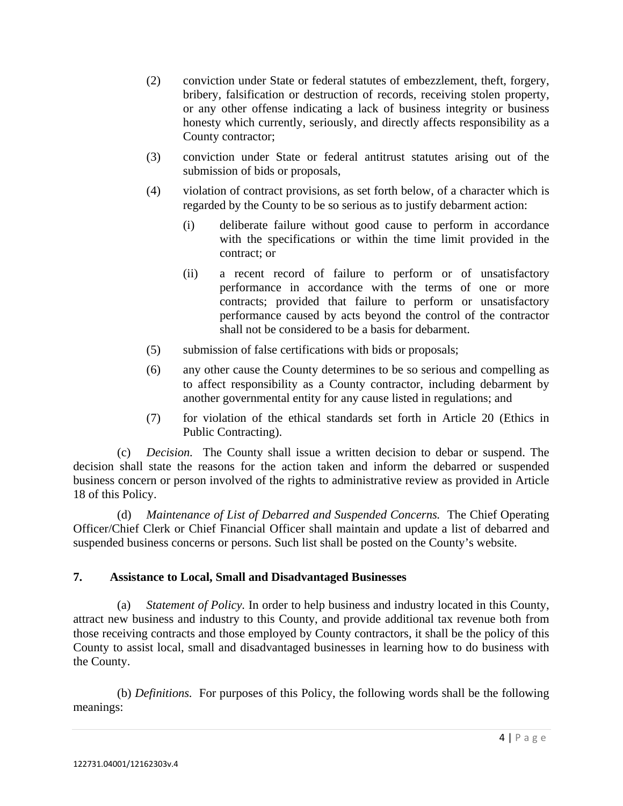- (2) conviction under State or federal statutes of embezzlement, theft, forgery, bribery, falsification or destruction of records, receiving stolen property, or any other offense indicating a lack of business integrity or business honesty which currently, seriously, and directly affects responsibility as a County contractor;
- (3) conviction under State or federal antitrust statutes arising out of the submission of bids or proposals,
- (4) violation of contract provisions, as set forth below, of a character which is regarded by the County to be so serious as to justify debarment action:
	- (i) deliberate failure without good cause to perform in accordance with the specifications or within the time limit provided in the contract; or
	- (ii) a recent record of failure to perform or of unsatisfactory performance in accordance with the terms of one or more contracts; provided that failure to perform or unsatisfactory performance caused by acts beyond the control of the contractor shall not be considered to be a basis for debarment.
- (5) submission of false certifications with bids or proposals;
- (6) any other cause the County determines to be so serious and compelling as to affect responsibility as a County contractor, including debarment by another governmental entity for any cause listed in regulations; and
- (7) for violation of the ethical standards set forth in Article 20 (Ethics in Public Contracting).

 (c) *Decision.* The County shall issue a written decision to debar or suspend. The decision shall state the reasons for the action taken and inform the debarred or suspended business concern or person involved of the rights to administrative review as provided in Article 18 of this Policy.

 (d) *Maintenance of List of Debarred and Suspended Concerns.* The Chief Operating Officer/Chief Clerk or Chief Financial Officer shall maintain and update a list of debarred and suspended business concerns or persons. Such list shall be posted on the County's website.

# **7. Assistance to Local, Small and Disadvantaged Businesses**

 (a) *Statement of Policy.* In order to help business and industry located in this County, attract new business and industry to this County, and provide additional tax revenue both from those receiving contracts and those employed by County contractors, it shall be the policy of this County to assist local, small and disadvantaged businesses in learning how to do business with the County.

 (b) *Definitions.* For purposes of this Policy, the following words shall be the following meanings: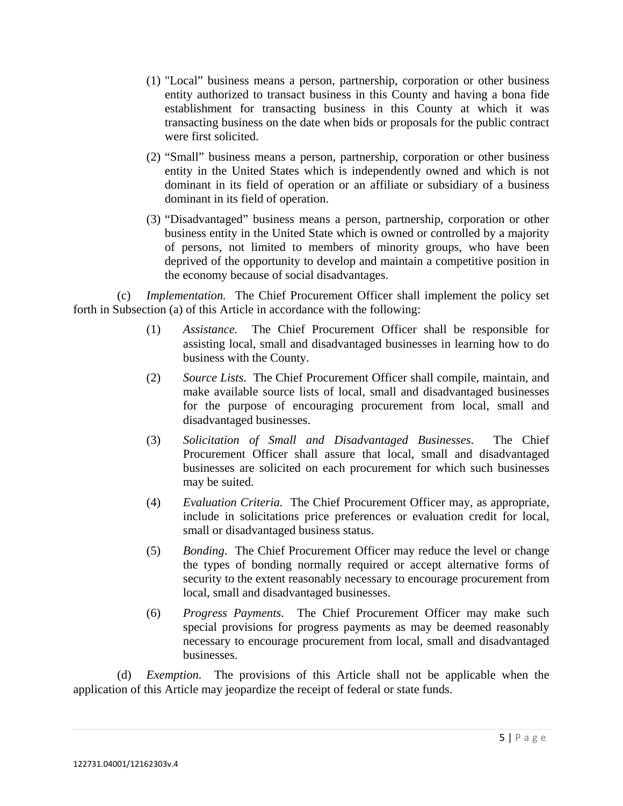- (1) "Local" business means a person, partnership, corporation or other business entity authorized to transact business in this County and having a bona fide establishment for transacting business in this County at which it was transacting business on the date when bids or proposals for the public contract were first solicited.
- (2) "Small" business means a person, partnership, corporation or other business entity in the United States which is independently owned and which is not dominant in its field of operation or an affiliate or subsidiary of a business dominant in its field of operation.
- (3) "Disadvantaged" business means a person, partnership, corporation or other business entity in the United State which is owned or controlled by a majority of persons, not limited to members of minority groups, who have been deprived of the opportunity to develop and maintain a competitive position in the economy because of social disadvantages.

 (c) *Implementation.* The Chief Procurement Officer shall implement the policy set forth in Subsection (a) of this Article in accordance with the following:

- (1) *Assistance.* The Chief Procurement Officer shall be responsible for assisting local, small and disadvantaged businesses in learning how to do business with the County.
- (2) *Source Lists*. The Chief Procurement Officer shall compile, maintain, and make available source lists of local, small and disadvantaged businesses for the purpose of encouraging procurement from local, small and disadvantaged businesses.
- (3) *Solicitation of Small and Disadvantaged Businesses*. The Chief Procurement Officer shall assure that local, small and disadvantaged businesses are solicited on each procurement for which such businesses may be suited.
- (4) *Evaluation Criteria.* The Chief Procurement Officer may, as appropriate, include in solicitations price preferences or evaluation credit for local, small or disadvantaged business status.
- (5) *Bonding*. The Chief Procurement Officer may reduce the level or change the types of bonding normally required or accept alternative forms of security to the extent reasonably necessary to encourage procurement from local, small and disadvantaged businesses.
- (6) *Progress Payments*. The Chief Procurement Officer may make such special provisions for progress payments as may be deemed reasonably necessary to encourage procurement from local, small and disadvantaged businesses.

 (d) *Exemption.* The provisions of this Article shall not be applicable when the application of this Article may jeopardize the receipt of federal or state funds.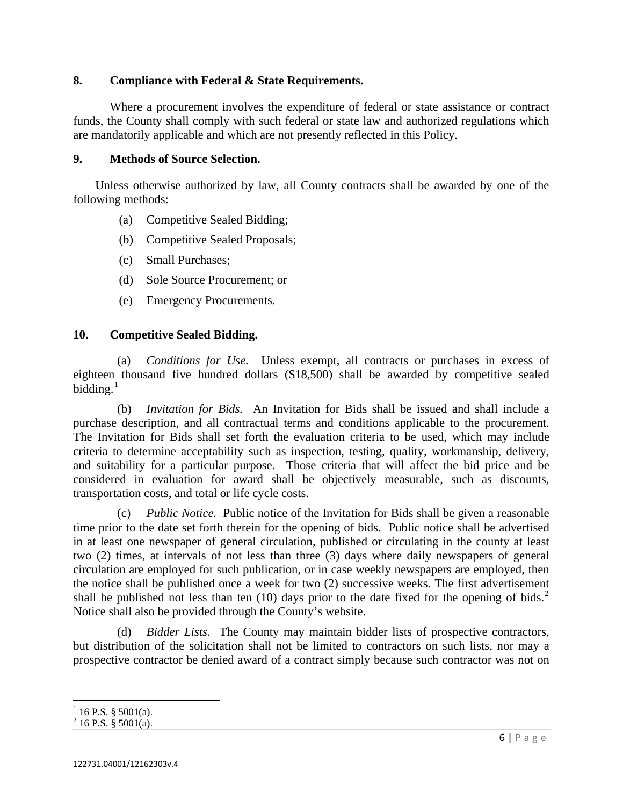### **8. Compliance with Federal & State Requirements.**

Where a procurement involves the expenditure of federal or state assistance or contract funds, the County shall comply with such federal or state law and authorized regulations which are mandatorily applicable and which are not presently reflected in this Policy.

### **9. Methods of Source Selection.**

 Unless otherwise authorized by law, all County contracts shall be awarded by one of the following methods:

- (a) Competitive Sealed Bidding;
- (b) Competitive Sealed Proposals;
- (c) Small Purchases;
- (d) Sole Source Procurement; or
- (e) Emergency Procurements.

### **10. Competitive Sealed Bidding.**

 (a) *Conditions for Use.* Unless exempt, all contracts or purchases in excess of eighteen thousand five hundred dollars (\$18,500) shall be awarded by competitive sealed bidding. $1$ 

 (b) *Invitation for Bids.* An Invitation for Bids shall be issued and shall include a purchase description, and all contractual terms and conditions applicable to the procurement. The Invitation for Bids shall set forth the evaluation criteria to be used, which may include criteria to determine acceptability such as inspection, testing, quality, workmanship, delivery, and suitability for a particular purpose. Those criteria that will affect the bid price and be considered in evaluation for award shall be objectively measurable, such as discounts, transportation costs, and total or life cycle costs.

 (c) *Public Notice.* Public notice of the Invitation for Bids shall be given a reasonable time prior to the date set forth therein for the opening of bids. Public notice shall be advertised in at least one newspaper of general circulation, published or circulating in the county at least two (2) times, at intervals of not less than three (3) days where daily newspapers of general circulation are employed for such publication, or in case weekly newspapers are employed, then the notice shall be published once a week for two (2) successive weeks. The first advertisement shall be published not less than ten  $(10)$  days prior to the date fixed for the opening of bids.<sup>[2](#page-5-1)</sup> Notice shall also be provided through the County's website.

 (d) *Bidder Lists.* The County may maintain bidder lists of prospective contractors, but distribution of the solicitation shall not be limited to contractors on such lists, nor may a prospective contractor be denied award of a contract simply because such contractor was not on

<span id="page-5-0"></span> $1$  16 P.S. § 5001(a).

<span id="page-5-1"></span> $2^{2}$  16 P.S. § 5001(a).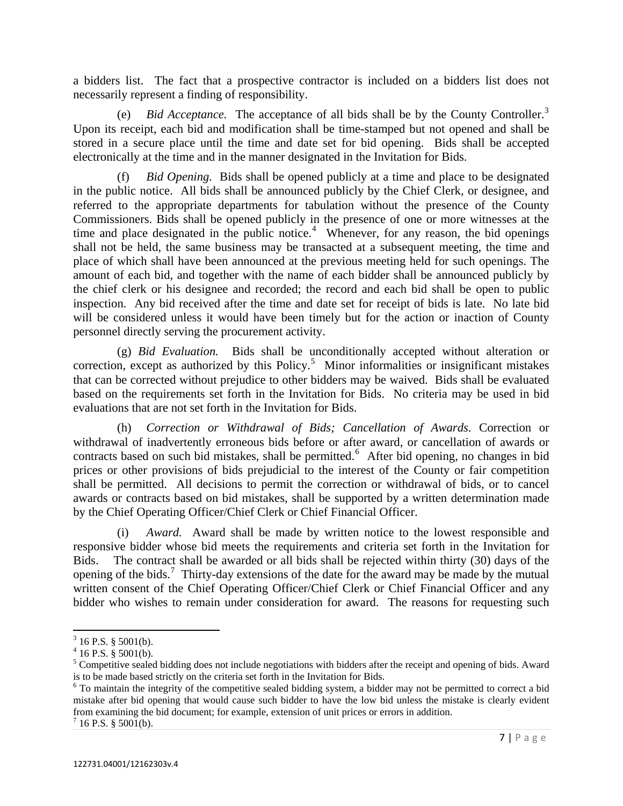a bidders list. The fact that a prospective contractor is included on a bidders list does not necessarily represent a finding of responsibility.

 (e) *Bid Acceptance.* The acceptance of all bids shall be by the County Controller.[3](#page-6-0) Upon its receipt, each bid and modification shall be time-stamped but not opened and shall be stored in a secure place until the time and date set for bid opening. Bids shall be accepted electronically at the time and in the manner designated in the Invitation for Bids.

personnel directly serving the procurement activity. (f) *Bid Opening.* Bids shall be opened publicly at a time and place to be designated in the public notice. All bids shall be announced publicly by the Chief Clerk, or designee, and referred to the appropriate departments for tabulation without the presence of the County Commissioners. Bids shall be opened publicly in the presence of one or more witnesses at the time and place designated in the public notice.<sup>[4](#page-6-1)</sup> Whenever, for any reason, the bid openings shall not be held, the same business may be transacted at a subsequent meeting, the time and place of which shall have been announced at the previous meeting held for such openings. The amount of each bid, and together with the name of each bidder shall be announced publicly by the chief clerk or his designee and recorded; the record and each bid shall be open to public inspection. Any bid received after the time and date set for receipt of bids is late. No late bid will be considered unless it would have been timely but for the action or inaction of County

(g) *Bid Evaluation.* Bids shall be unconditionally accepted without alteration or correction, except as authorized by this Policy.<sup>[5](#page-6-2)</sup> Minor informalities or insignificant mistakes that can be corrected without prejudice to other bidders may be waived. Bids shall be evaluated based on the requirements set forth in the Invitation for Bids. No criteria may be used in bid evaluations that are not set forth in the Invitation for Bids.

 (h) *Correction or Withdrawal of Bids; Cancellation of Awards*. Correction or withdrawal of inadvertently erroneous bids before or after award, or cancellation of awards or contracts based on such bid mistakes, shall be permitted.<sup>[6](#page-6-3)</sup> After bid opening, no changes in bid prices or other provisions of bids prejudicial to the interest of the County or fair competition shall be permitted. All decisions to permit the correction or withdrawal of bids, or to cancel awards or contracts based on bid mistakes, shall be supported by a written determination made by the Chief Operating Officer/Chief Clerk or Chief Financial Officer.

 (i) *Award.* Award shall be made by written notice to the lowest responsible and responsive bidder whose bid meets the requirements and criteria set forth in the Invitation for Bids. The contract shall be awarded or all bids shall be rejected within thirty (30) days of the opening of the bids.<sup>[7](#page-6-4)</sup> Thirty-day extensions of the date for the award may be made by the mutual written consent of the Chief Operating Officer/Chief Clerk or Chief Financial Officer and any bidder who wishes to remain under consideration for award. The reasons for requesting such

<span id="page-6-0"></span> $3$  16 P.S. § 5001(b).

<span id="page-6-1"></span> $4$  16 P.S. § 5001(b).

<span id="page-6-2"></span> $<sup>5</sup>$  Competitive sealed bidding does not include negotiations with bidders after the receipt and opening of bids. Award</sup> is to be made based strictly on the criteria set forth in the Invitation for Bids.

<span id="page-6-3"></span><sup>&</sup>lt;sup>6</sup> To maintain the integrity of the competitive sealed bidding system, a bidder may not be permitted to correct a bid mistake after bid opening that would cause such bidder to have the low bid unless the mistake is clearly evident from examining the bid document; for example, extension of unit prices or errors in addition.

<span id="page-6-4"></span> $7$  16 P.S. § 5001(b).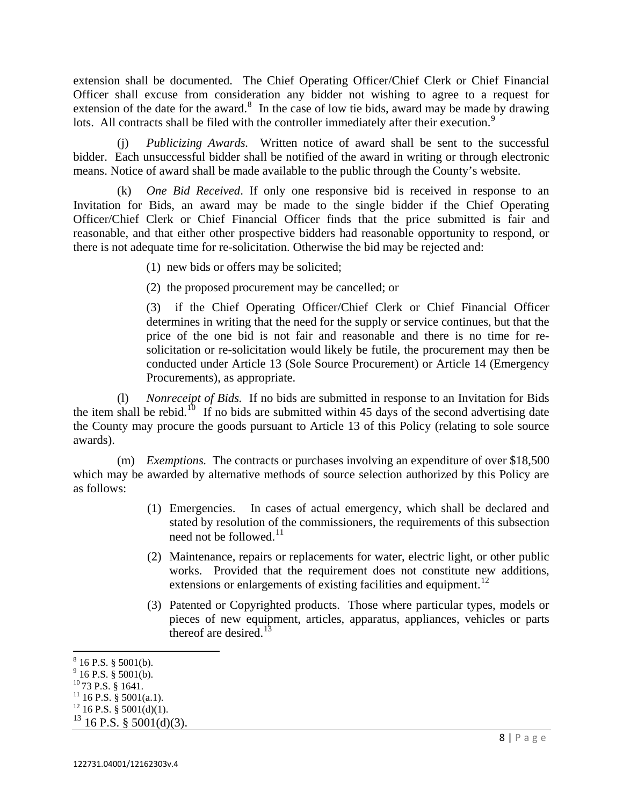extension shall be documented. The Chief Operating Officer/Chief Clerk or Chief Financial Officer shall excuse from consideration any bidder not wishing to agree to a request for extension of the date for the award. $8\,$  $8\,$  In the case of low tie bids, award may be made by drawing lots. All contracts shall be filed with the controller immediately after their execution.<sup>[9](#page-7-1)</sup>

 (j) *Publicizing Awards.* Written notice of award shall be sent to the successful bidder. Each unsuccessful bidder shall be notified of the award in writing or through electronic means. Notice of award shall be made available to the public through the County's website.

 (k) *One Bid Received*. If only one responsive bid is received in response to an Invitation for Bids, an award may be made to the single bidder if the Chief Operating Officer/Chief Clerk or Chief Financial Officer finds that the price submitted is fair and reasonable, and that either other prospective bidders had reasonable opportunity to respond, or there is not adequate time for re-solicitation. Otherwise the bid may be rejected and:

(1) new bids or offers may be solicited;

(2) the proposed procurement may be cancelled; or

(3) if the Chief Operating Officer/Chief Clerk or Chief Financial Officer determines in writing that the need for the supply or service continues, but that the price of the one bid is not fair and reasonable and there is no time for resolicitation or re-solicitation would likely be futile, the procurement may then be conducted under Article 13 (Sole Source Procurement) or Article 14 (Emergency Procurements), as appropriate.

(l) *Nonreceipt of Bids.* If no bids are submitted in response to an Invitation for Bids the item shall be rebid.<sup>[10](#page-7-2)</sup> If no bids are submitted within 45 days of the second advertising date the County may procure the goods pursuant to Article 13 of this Policy (relating to sole source awards).

 (m) *Exemptions.* The contracts or purchases involving an expenditure of over \$18,500 which may be awarded by alternative methods of source selection authorized by this Policy are as follows:

- (1) Emergencies. In cases of actual emergency, which shall be declared and stated by resolution of the commissioners, the requirements of this subsection need not be followed.<sup>[11](#page-7-3)</sup>
- (2) Maintenance, repairs or replacements for water, electric light, or other public works. Provided that the requirement does not constitute new additions, extensions or enlargements of existing facilities and equipment.<sup>[12](#page-7-4)</sup>
- (3) Patented or Copyrighted products. Those where particular types, models or pieces of new equipment, articles, apparatus, appliances, vehicles or parts thereof are desired. $13$

<span id="page-7-0"></span> $^8$  16 P.S. § 5001(b).<br><sup>9</sup> 16 P.S. § 5001(b).

<span id="page-7-1"></span>

<span id="page-7-2"></span> $^{10}$  73 P.S. § 1641.<br><sup>11</sup> 16 P.S. § 5001(a.1).

<span id="page-7-4"></span><span id="page-7-3"></span> $12$  16 P.S. § 5001(d)(1).

<span id="page-7-5"></span> $13$  16 P.S. § 5001(d)(3).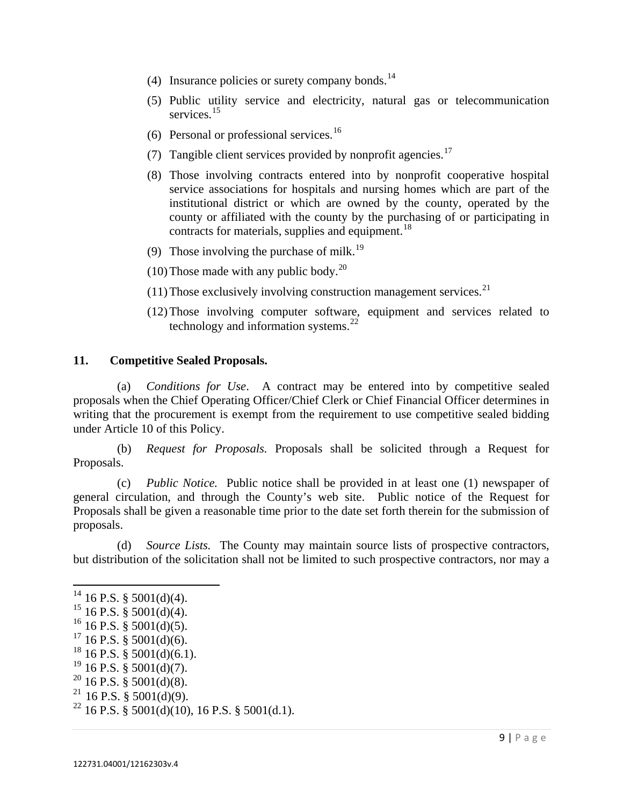- (4) Insurance policies or surety company bonds.<sup>[14](#page-8-0)</sup>
- (5) Public utility service and electricity, natural gas or telecommunication services.<sup>[15](#page-8-1)</sup>
- (6) Personal or professional services.<sup>[16](#page-8-2)</sup>
- (7) Tangible client services provided by nonprofit agencies.<sup>[17](#page-8-3)</sup>
- (8) Those involving contracts entered into by nonprofit cooperative hospital service associations for hospitals and nursing homes which are part of the institutional district or which are owned by the county, operated by the county or affiliated with the county by the purchasing of or participating in contracts for materials, supplies and equipment. $^{18}$  $^{18}$  $^{18}$
- (9) Those involving the purchase of milk.<sup>[19](#page-8-5)</sup>
- (10) Those made with any public body.<sup>[20](#page-8-6)</sup>
- (11) Those exclusively involving construction management services.<sup>[21](#page-8-7)</sup>
- (12)Those involving computer software, equipment and services related to technology and information systems.<sup>[22](#page-8-8)</sup>

### **11. Competitive Sealed Proposals.**

(a) *Conditions for Use*. A contract may be entered into by competitive sealed proposals when the Chief Operating Officer/Chief Clerk or Chief Financial Officer determines in writing that the procurement is exempt from the requirement to use competitive sealed bidding under Article 10 of this Policy.

 (b) *Request for Proposals.* Proposals shall be solicited through a Request for Proposals.

 (c) *Public Notice.* Public notice shall be provided in at least one (1) newspaper of general circulation, and through the County's web site. Public notice of the Request for Proposals shall be given a reasonable time prior to the date set forth therein for the submission of proposals.

 (d) *Source Lists.* The County may maintain source lists of prospective contractors, but distribution of the solicitation shall not be limited to such prospective contractors, nor may a

<span id="page-8-0"></span> $14$  16 P.S. § 5001(d)(4).

<span id="page-8-1"></span> $15$  16 P.S. § 5001(d)(4).

<span id="page-8-2"></span> $^{16}$  16 P.S. § 5001(d)(5).

<span id="page-8-3"></span> $17$  16 P.S. § 5001(d)(6).

<span id="page-8-4"></span> $18$  16 P.S. § 5001(d)(6.1).

<span id="page-8-5"></span> $19$  16 P.S. § 5001(d)(7).

<span id="page-8-6"></span> $^{20}$  16 P.S. § 5001(d)(8).

<span id="page-8-7"></span><sup>&</sup>lt;sup>21</sup> 16 P.S. § 5001(d)(9).

<span id="page-8-8"></span><sup>&</sup>lt;sup>22</sup> 16 P.S.  $\frac{8}{9}$  5001(d)(10), 16 P.S. § 5001(d.1).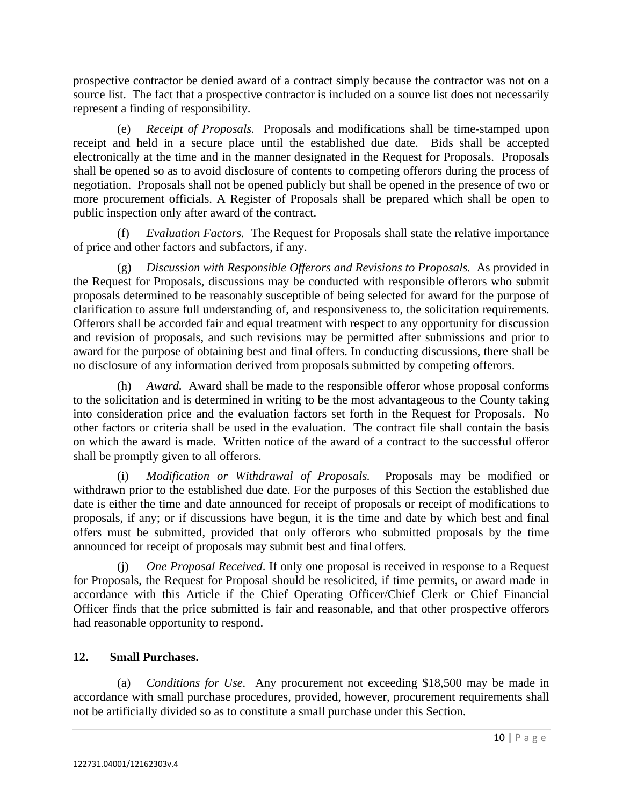prospective contractor be denied award of a contract simply because the contractor was not on a source list. The fact that a prospective contractor is included on a source list does not necessarily represent a finding of responsibility.

 (e) *Receipt of Proposals.* Proposals and modifications shall be time-stamped upon receipt and held in a secure place until the established due date. Bids shall be accepted electronically at the time and in the manner designated in the Request for Proposals. Proposals shall be opened so as to avoid disclosure of contents to competing offerors during the process of negotiation. Proposals shall not be opened publicly but shall be opened in the presence of two or more procurement officials. A Register of Proposals shall be prepared which shall be open to public inspection only after award of the contract.

Evaluation Factors. The Request for Proposals shall state the relative importance of price and other factors and subfactors, if any.

 (g) *Discussion with Responsible Offerors and Revisions to Proposals.* As provided in the Request for Proposals, discussions may be conducted with responsible offerors who submit proposals determined to be reasonably susceptible of being selected for award for the purpose of clarification to assure full understanding of, and responsiveness to, the solicitation requirements. Offerors shall be accorded fair and equal treatment with respect to any opportunity for discussion and revision of proposals, and such revisions may be permitted after submissions and prior to award for the purpose of obtaining best and final offers. In conducting discussions, there shall be no disclosure of any information derived from proposals submitted by competing offerors.

 (h) *Award.* Award shall be made to the responsible offeror whose proposal conforms to the solicitation and is determined in writing to be the most advantageous to the County taking into consideration price and the evaluation factors set forth in the Request for Proposals. No other factors or criteria shall be used in the evaluation. The contract file shall contain the basis on which the award is made. Written notice of the award of a contract to the successful offeror shall be promptly given to all offerors.

 (i) *Modification or Withdrawal of Proposals.* Proposals may be modified or withdrawn prior to the established due date. For the purposes of this Section the established due date is either the time and date announced for receipt of proposals or receipt of modifications to proposals, if any; or if discussions have begun, it is the time and date by which best and final offers must be submitted, provided that only offerors who submitted proposals by the time announced for receipt of proposals may submit best and final offers.

*One Proposal Received.* If only one proposal is received in response to a Request for Proposals, the Request for Proposal should be resolicited, if time permits, or award made in accordance with this Article if the Chief Operating Officer/Chief Clerk or Chief Financial Officer finds that the price submitted is fair and reasonable, and that other prospective offerors had reasonable opportunity to respond.

# **12. Small Purchases.**

 (a) *Conditions for Use.* Any procurement not exceeding \$18,500 may be made in accordance with small purchase procedures, provided, however, procurement requirements shall not be artificially divided so as to constitute a small purchase under this Section.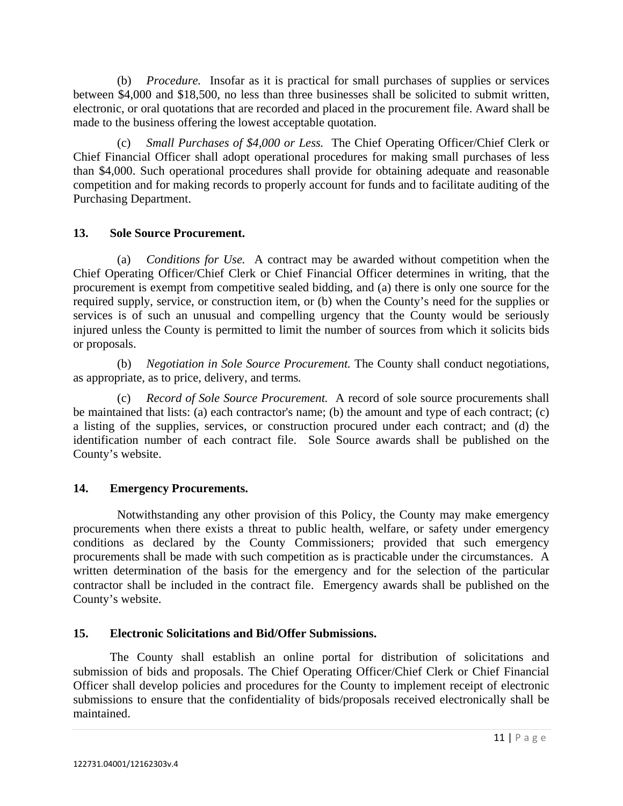(b) *Procedure.* Insofar as it is practical for small purchases of supplies or services between \$4,000 and \$18,500, no less than three businesses shall be solicited to submit written, electronic, or oral quotations that are recorded and placed in the procurement file. Award shall be made to the business offering the lowest acceptable quotation.

 (c) *Small Purchases of \$4,000 or Less.* The Chief Operating Officer/Chief Clerk or Chief Financial Officer shall adopt operational procedures for making small purchases of less than \$4,000. Such operational procedures shall provide for obtaining adequate and reasonable competition and for making records to properly account for funds and to facilitate auditing of the Purchasing Department.

## **13. Sole Source Procurement.**

 (a) *Conditions for Use.* A contract may be awarded without competition when the Chief Operating Officer/Chief Clerk or Chief Financial Officer determines in writing, that the procurement is exempt from competitive sealed bidding, and (a) there is only one source for the required supply, service, or construction item, or (b) when the County's need for the supplies or services is of such an unusual and compelling urgency that the County would be seriously injured unless the County is permitted to limit the number of sources from which it solicits bids or proposals.

 (b) *Negotiation in Sole Source Procurement.* The County shall conduct negotiations, as appropriate, as to price, delivery, and terms*.* 

 (c) *Record of Sole Source Procurement.* A record of sole source procurements shall be maintained that lists: (a) each contractor's name; (b) the amount and type of each contract; (c) a listing of the supplies, services, or construction procured under each contract; and (d) the identification number of each contract file. Sole Source awards shall be published on the County's website.

### **14. Emergency Procurements.**

 Notwithstanding any other provision of this Policy, the County may make emergency procurements when there exists a threat to public health, welfare, or safety under emergency conditions as declared by the County Commissioners; provided that such emergency procurements shall be made with such competition as is practicable under the circumstances. A written determination of the basis for the emergency and for the selection of the particular contractor shall be included in the contract file. Emergency awards shall be published on the County's website.

# **15. Electronic Solicitations and Bid/Offer Submissions.**

The County shall establish an online portal for distribution of solicitations and submission of bids and proposals. The Chief Operating Officer/Chief Clerk or Chief Financial Officer shall develop policies and procedures for the County to implement receipt of electronic submissions to ensure that the confidentiality of bids/proposals received electronically shall be maintained.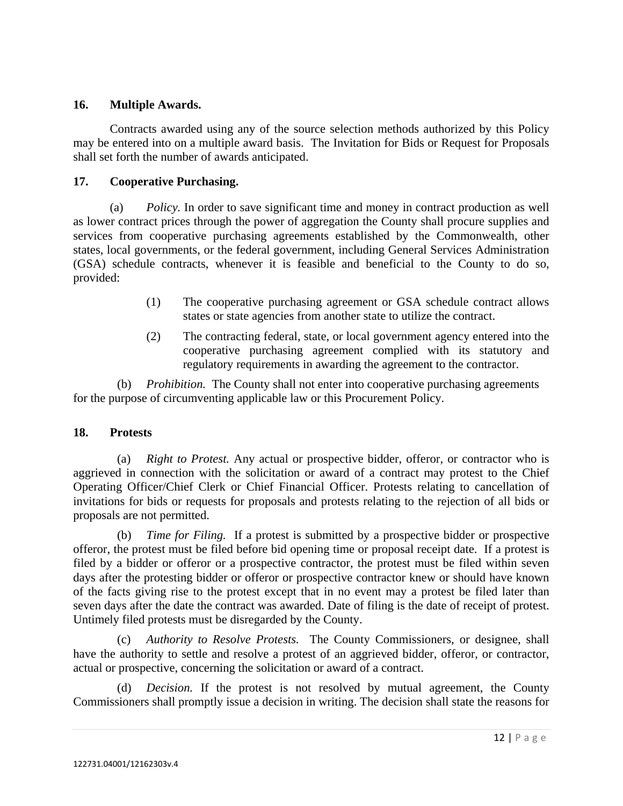### **16. Multiple Awards.**

Contracts awarded using any of the source selection methods authorized by this Policy may be entered into on a multiple award basis. The Invitation for Bids or Request for Proposals shall set forth the number of awards anticipated.

## **17. Cooperative Purchasing.**

 (a) *Policy.* In order to save significant time and money in contract production as well as lower contract prices through the power of aggregation the County shall procure supplies and services from cooperative purchasing agreements established by the Commonwealth, other states, local governments, or the federal government, including General Services Administration (GSA) schedule contracts, whenever it is feasible and beneficial to the County to do so, provided:

- (1) The cooperative purchasing agreement or GSA schedule contract allows states or state agencies from another state to utilize the contract.
- (2) The contracting federal, state, or local government agency entered into the cooperative purchasing agreement complied with its statutory and regulatory requirements in awarding the agreement to the contractor.

 (b) *Prohibition.* The County shall not enter into cooperative purchasing agreements for the purpose of circumventing applicable law or this Procurement Policy.

### **18. Protests**

(a) *Right to Protest.* Any actual or prospective bidder, offeror, or contractor who is aggrieved in connection with the solicitation or award of a contract may protest to the Chief Operating Officer/Chief Clerk or Chief Financial Officer. Protests relating to cancellation of invitations for bids or requests for proposals and protests relating to the rejection of all bids or proposals are not permitted.

 (b) *Time for Filing.* If a protest is submitted by a prospective bidder or prospective offeror, the protest must be filed before bid opening time or proposal receipt date. If a protest is filed by a bidder or offeror or a prospective contractor, the protest must be filed within seven days after the protesting bidder or offeror or prospective contractor knew or should have known of the facts giving rise to the protest except that in no event may a protest be filed later than seven days after the date the contract was awarded. Date of filing is the date of receipt of protest. Untimely filed protests must be disregarded by the County.

(c) *Authority to Resolve Protests.* The County Commissioners, or designee, shall have the authority to settle and resolve a protest of an aggrieved bidder, offeror, or contractor, actual or prospective, concerning the solicitation or award of a contract.

(d) *Decision.* If the protest is not resolved by mutual agreement, the County Commissioners shall promptly issue a decision in writing. The decision shall state the reasons for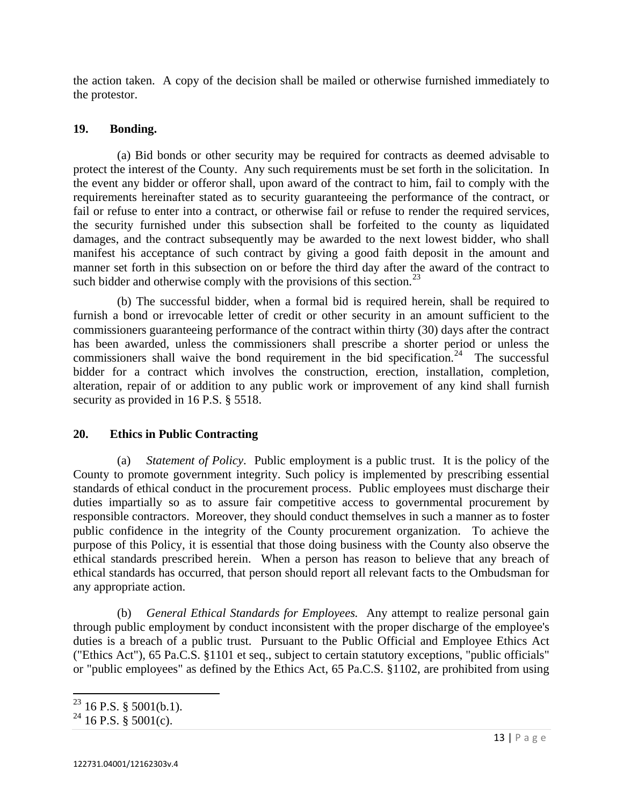the action taken. A copy of the decision shall be mailed or otherwise furnished immediately to the protestor.

### **19. Bonding.**

 (a) Bid bonds or other security may be required for contracts as deemed advisable to protect the interest of the County. Any such requirements must be set forth in the solicitation. In the event any bidder or offeror shall, upon award of the contract to him, fail to comply with the requirements hereinafter stated as to security guaranteeing the performance of the contract, or fail or refuse to enter into a contract, or otherwise fail or refuse to render the required services, the security furnished under this subsection shall be forfeited to the county as liquidated damages, and the contract subsequently may be awarded to the next lowest bidder, who shall manifest his acceptance of such contract by giving a good faith deposit in the amount and manner set forth in this subsection on or before the third day after the award of the contract to such bidder and otherwise comply with the provisions of this section.<sup>[23](#page-12-0)</sup>

 (b) The successful bidder, when a formal bid is required herein, shall be required to furnish a bond or irrevocable letter of credit or other security in an amount sufficient to the commissioners guaranteeing performance of the contract within thirty (30) days after the contract has been awarded, unless the commissioners shall prescribe a shorter period or unless the commissioners shall waive the bond requirement in the bid specification.<sup>[24](#page-12-1)</sup> The successful bidder for a contract which involves the construction, erection, installation, completion, alteration, repair of or addition to any public work or improvement of any kind shall furnish security as provided in 16 P.S. § 5518.

### **20. Ethics in Public Contracting**

(a) *Statement of Policy*. Public employment is a public trust. It is the policy of the County to promote government integrity. Such policy is implemented by prescribing essential standards of ethical conduct in the procurement process. Public employees must discharge their duties impartially so as to assure fair competitive access to governmental procurement by responsible contractors. Moreover, they should conduct themselves in such a manner as to foster public confidence in the integrity of the County procurement organization. To achieve the purpose of this Policy, it is essential that those doing business with the County also observe the ethical standards prescribed herein. When a person has reason to believe that any breach of ethical standards has occurred, that person should report all relevant facts to the Ombudsman for any appropriate action.

(b) *General Ethical Standards for Employees.* Any attempt to realize personal gain through public employment by conduct inconsistent with the proper discharge of the employee's duties is a breach of a public trust. Pursuant to the Public Official and Employee Ethics Act ("Ethics Act"), 65 Pa.C.S. §1101 et seq., subject to certain statutory exceptions, "public officials" or "public employees" as defined by the Ethics Act, 65 Pa.C.S. §1102, are prohibited from using

 $^{23}$  16 P.S. § 5001(b.1).

<span id="page-12-1"></span><span id="page-12-0"></span><sup>&</sup>lt;sup>24</sup> 16 P.S. § 5001(c).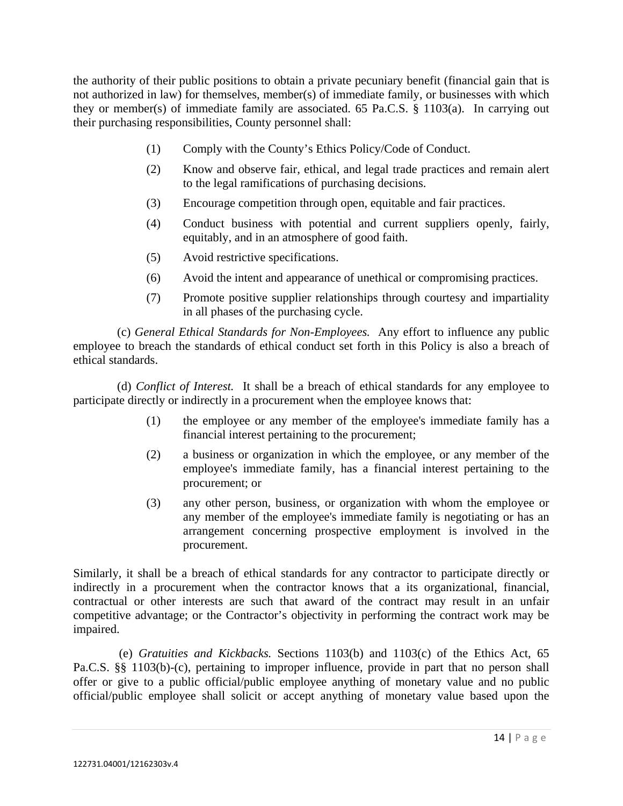the authority of their public positions to obtain a private pecuniary benefit (financial gain that is not authorized in law) for themselves, member(s) of immediate family, or businesses with which they or member(s) of immediate family are associated. 65 Pa.C.S. § 1103(a). In carrying out their purchasing responsibilities, County personnel shall:

- (1) Comply with the County's Ethics Policy/Code of Conduct.
- (2) Know and observe fair, ethical, and legal trade practices and remain alert to the legal ramifications of purchasing decisions.
- (3) Encourage competition through open, equitable and fair practices.
- (4) Conduct business with potential and current suppliers openly, fairly, equitably, and in an atmosphere of good faith.
- (5) Avoid restrictive specifications.
- (6) Avoid the intent and appearance of unethical or compromising practices.
- (7) Promote positive supplier relationships through courtesy and impartiality in all phases of the purchasing cycle.

 (c) *General Ethical Standards for Non-Employees.* Any effort to influence any public employee to breach the standards of ethical conduct set forth in this Policy is also a breach of ethical standards.

 (d) *Conflict of Interest.* It shall be a breach of ethical standards for any employee to participate directly or indirectly in a procurement when the employee knows that:

- (1) the employee or any member of the employee's immediate family has a financial interest pertaining to the procurement;
- (2) a business or organization in which the employee, or any member of the employee's immediate family, has a financial interest pertaining to the procurement; or
- (3) any other person, business, or organization with whom the employee or any member of the employee's immediate family is negotiating or has an arrangement concerning prospective employment is involved in the procurement.

Similarly, it shall be a breach of ethical standards for any contractor to participate directly or indirectly in a procurement when the contractor knows that a its organizational, financial, contractual or other interests are such that award of the contract may result in an unfair competitive advantage; or the Contractor's objectivity in performing the contract work may be impaired.

 (e) *Gratuities and Kickbacks.* Sections 1103(b) and 1103(c) of the Ethics Act, 65 Pa.C.S. §§ 1103(b)-(c), pertaining to improper influence, provide in part that no person shall offer or give to a public official/public employee anything of monetary value and no public official/public employee shall solicit or accept anything of monetary value based upon the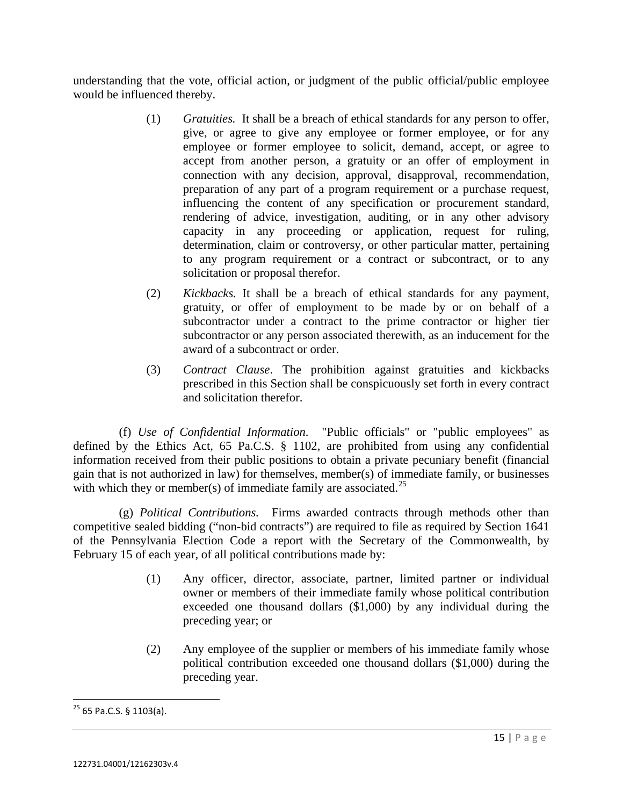understanding that the vote, official action, or judgment of the public official/public employee would be influenced thereby.

- (1) *Gratuities.* It shall be a breach of ethical standards for any person to offer, give, or agree to give any employee or former employee, or for any employee or former employee to solicit, demand, accept, or agree to accept from another person, a gratuity or an offer of employment in connection with any decision, approval, disapproval, recommendation, preparation of any part of a program requirement or a purchase request, influencing the content of any specification or procurement standard, rendering of advice, investigation, auditing, or in any other advisory capacity in any proceeding or application, request for ruling, determination, claim or controversy, or other particular matter, pertaining to any program requirement or a contract or subcontract, or to any solicitation or proposal therefor.
- (2) *Kickbacks.* It shall be a breach of ethical standards for any payment, gratuity, or offer of employment to be made by or on behalf of a subcontractor under a contract to the prime contractor or higher tier subcontractor or any person associated therewith, as an inducement for the award of a subcontract or order.
- (3) *Contract Clause*. The prohibition against gratuities and kickbacks prescribed in this Section shall be conspicuously set forth in every contract and solicitation therefor.

 (f) *Use of Confidential Information*. "Public officials" or "public employees" as defined by the Ethics Act, 65 Pa.C.S. § 1102, are prohibited from using any confidential information received from their public positions to obtain a private pecuniary benefit (financial gain that is not authorized in law) for themselves, member(s) of immediate family, or businesses with which they or member(s) of immediate family are associated.<sup>[25](#page-14-0)</sup>

 (g) *Political Contributions.* Firms awarded contracts through methods other than competitive sealed bidding ("non-bid contracts") are required to file as required by Section 1641 of the Pennsylvania Election Code a report with the Secretary of the Commonwealth, by February 15 of each year, of all political contributions made by:

- (1) Any officer, director, associate, partner, limited partner or individual owner or members of their immediate family whose political contribution exceeded one thousand dollars (\$1,000) by any individual during the preceding year; or
- (2) Any employee of the supplier or members of his immediate family whose political contribution exceeded one thousand dollars (\$1,000) during the preceding year.

<span id="page-14-0"></span> <sup>25</sup> 65 Pa.C.S. § 1103(a).